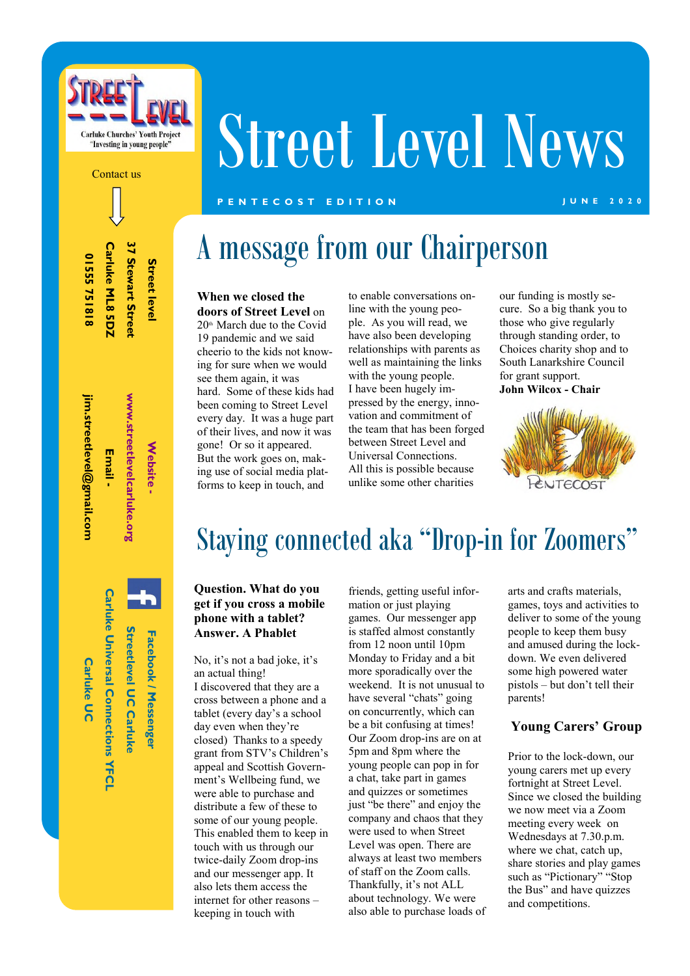

# Street Level News

#### **P E N T E C O S T E D I T I O N J U N E 2 0 2 0**

37 Stewart Street Carluke ML8 5DZ **Carluke ML8 5DZ 37 Stewart Street**  01555751818 **01555 751818 Street leve Street level** 

Contact us

jim.streetlevel@gmail.com **jim.streetlevel@gmail.com**  Email -

**Email -** 

**Website -** 

**Website** 

www.streetlevelcarluke.org **www.streetlevelcarluke.org** 

**Carluke Universal Connections YFCI Carluke Universal Connections YFCL Streetlevel UC Carluke Streetlevel UC Carluke**  Facebook / Messenge **Facebook / Messenger** 

**Carluke UC** 

**Carluke UC** 

# A message from our Chairperson

#### **When we closed the doors of Street Level** on  $20<sup>th</sup>$  March due to the Covid 19 pandemic and we said cheerio to the kids not knowing for sure when we would see them again, it was hard. Some of these kids had been coming to Street Level every day. It was a huge part of their lives, and now it was gone! Or so it appeared. But the work goes on, making use of social media plat-

forms to keep in touch, and

to enable conversations online with the young people. As you will read, we have also been developing relationships with parents as well as maintaining the links with the young people. I have been hugely impressed by the energy, innovation and commitment of the team that has been forged between Street Level and Universal Connections. All this is possible because unlike some other charities

our funding is mostly secure. So a big thank you to those who give regularly through standing order, to Choices charity shop and to South Lanarkshire Council for grant support. **John Wilcox - Chair**



## Staying connected aka "Drop-in for Zoomers"

#### **Question. What do you get if you cross a mobile phone with a tablet? Answer. A Phablet**

No, it's not a bad joke, it's an actual thing! I discovered that they are a cross between a phone and a tablet (every day's a school day even when they're closed) Thanks to a speedy grant from STV's Children's appeal and Scottish Government's Wellbeing fund, we were able to purchase and distribute a few of these to some of our young people. This enabled them to keep in touch with us through our twice-daily Zoom drop-ins and our messenger app. It also lets them access the internet for other reasons – keeping in touch with

friends, getting useful information or just playing games. Our messenger app is staffed almost constantly from 12 noon until 10pm Monday to Friday and a bit more sporadically over the weekend. It is not unusual to have several "chats" going on concurrently, which can be a bit confusing at times! Our Zoom drop-ins are on at 5pm and 8pm where the young people can pop in for a chat, take part in games and quizzes or sometimes just "be there" and enjoy the company and chaos that they were used to when Street Level was open. There are always at least two members of staff on the Zoom calls. Thankfully, it's not ALL about technology. We were also able to purchase loads of arts and crafts materials, games, toys and activities to deliver to some of the young people to keep them busy and amused during the lockdown. We even delivered some high powered water pistols – but don't tell their parents!

#### **Young Carers' Group**

Prior to the lock-down, our young carers met up every fortnight at Street Level. Since we closed the building we now meet via a Zoom meeting every week on Wednesdays at 7.30.p.m. where we chat, catch up, share stories and play games such as "Pictionary" "Stop the Bus" and have quizzes and competitions.